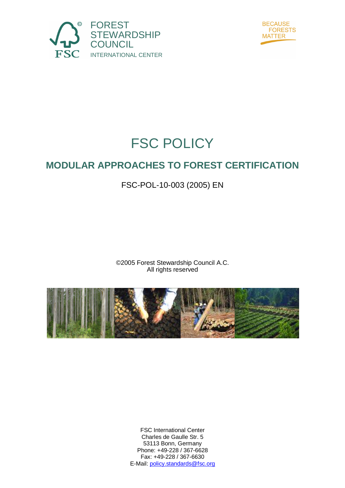



# FSC POLICY

# **MODULAR APPROACHES TO FOREST CERTIFICATION**

## FSC-POL-10-003 (2005) EN

©2005 Forest Stewardship Council A.C. All rights reserved



FSC International Center Charles de Gaulle Str. 5 53113 Bonn, Germany Phone: +49-228 / 367-6628 Fax: +49-228 / 367-6630 E-Mail: policy.standards@fsc.org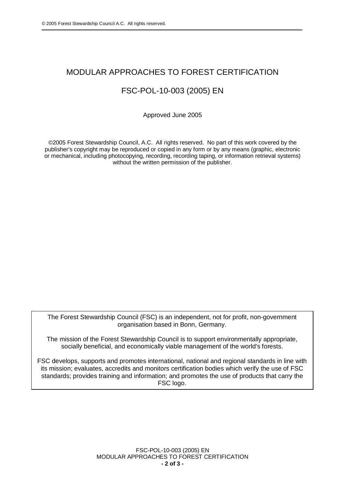#### MODULAR APPROACHES TO FOREST CERTIFICATION

### FSC-POL-10-003 (2005) EN

Approved June 2005

©2005 Forest Stewardship Council, A.C. All rights reserved. No part of this work covered by the publisher's copyright may be reproduced or copied in any form or by any means (graphic, electronic or mechanical, including photocopying, recording, recording taping, or information retrieval systems) without the written permission of the publisher.

The Forest Stewardship Council (FSC) is an independent, not for profit, non-government organisation based in Bonn, Germany.

The mission of the Forest Stewardship Council is to support environmentally appropriate, socially beneficial, and economically viable management of the world's forests.

FSC develops, supports and promotes international, national and regional standards in line with its mission; evaluates, accredits and monitors certification bodies which verify the use of FSC standards; provides training and information; and promotes the use of products that carry the FSC logo.